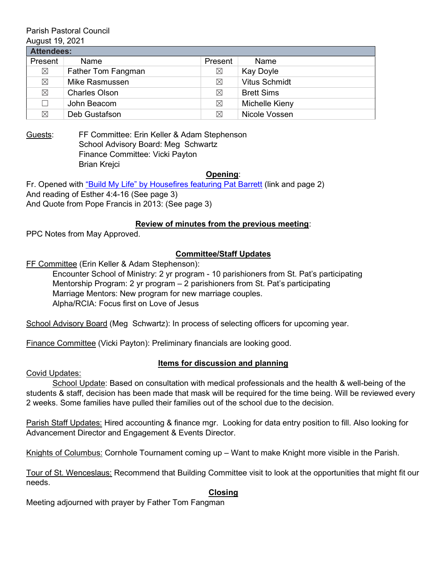### Parish Pastoral Council August 19, 2021

| Attendees:  |                      |             |                      |
|-------------|----------------------|-------------|----------------------|
| Present     | Name                 | Present     | Name                 |
| $\boxtimes$ | Father Tom Fangman   | $\boxtimes$ | Kay Doyle            |
| $\boxtimes$ | Mike Rasmussen       | $\boxtimes$ | <b>Vitus Schmidt</b> |
| $\boxtimes$ | <b>Charles Olson</b> | ⊠           | <b>Brett Sims</b>    |
| П           | John Beacom          | ⊠           | Michelle Kieny       |
| $\boxtimes$ | Deb Gustafson        | ⊠           | Nicole Vossen        |

Guests: FF Committee: Erin Keller & Adam Stephenson School Advisory Board: Meg Schwartz Finance Committee: Vicki Payton Brian Krejci

## Opening:

Fr. Opened with "Build My Life" by Housefires featuring Pat Barrett (link and page 2) And reading of Esther 4:4-16 (See page 3) And Quote from Pope Francis in 2013: (See page 3)

## Review of minutes from the previous meeting:

PPC Notes from May Approved.

# Committee/Staff Updates

FF Committee (Erin Keller & Adam Stephenson):

Encounter School of Ministry: 2 yr program - 10 parishioners from St. Pat's participating Mentorship Program: 2 yr program – 2 parishioners from St. Pat's participating Marriage Mentors: New program for new marriage couples. Alpha/RCIA: Focus first on Love of Jesus

School Advisory Board (Meg Schwartz): In process of selecting officers for upcoming year.

Finance Committee (Vicki Payton): Preliminary financials are looking good.

## Items for discussion and planning

Covid Updates:

 School Update: Based on consultation with medical professionals and the health & well-being of the students & staff, decision has been made that mask will be required for the time being. Will be reviewed every 2 weeks. Some families have pulled their families out of the school due to the decision.

Parish Staff Updates: Hired accounting & finance mgr. Looking for data entry position to fill. Also looking for Advancement Director and Engagement & Events Director.

Knights of Columbus: Cornhole Tournament coming up - Want to make Knight more visible in the Parish.

Tour of St. Wenceslaus: Recommend that Building Committee visit to look at the opportunities that might fit our needs.

## Closing

Meeting adjourned with prayer by Father Tom Fangman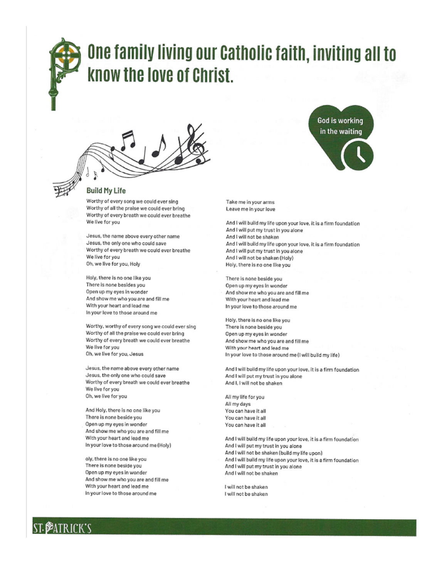# One family living our Catholic faith, inviting all to know the love of Christ.



## **Build My Life**

Worthy of every song we could ever sing Worthy of all the praise we could ever bring Worthy of every breath we could ever breathe We live for you

Jesus, the name above every other name Jesus, the only one who could save Worthy of every breath we could ever breathe We live for you Oh, we live for you, Holy

Holy, there is no one like you There is none besides you Open up my eyes in wonder And show me who you are and fill me With your heart and lead me In your love to those around me

Worthy, worthy of every song we could ever sing Worthy of all the praise we could ever bring Worthy of every breath we could ever breathe We live for you Oh, we live for you, Jesus

Jesus, the name above every other name Jesus, the only one who could save Worthy of every breath we could ever breathe We live for you Oh, we live for you

And Holy, there is no one like you There is none beside you Open up my eyes in wonder And show me who you are and fill me With your heart and lead me In your love to those around me (Holy)

oly, there is no one like you There is none beside you Open up my eyes in wonder And show me who you are and fill me With your heart and lead me In your love to those around me



Take me in your arms Leave me in your love

And I will build my life upon your love, it is a firm foundation And I will put my trust in you alone And I will not be shaken And I will build my life upon your love, it is a firm foundation And I will put my trust in you alone And I will not be shaken (Holy) Holy, there is no one like you

There is none beside you Open up my eyes in wonder And show me who you are and fill me With your heart and lead me In your love to those around me

Holy, there is no one like you There is none beside you Open up my eyes in wonder And show me who you are and fill me With your heart and lead me In your love to those around me (I will build my life)

And I will build my life upon your love, it is a firm foundation And I will put my trust in you alone And I, I will not be shaken

All my life for you All my days You can have it all You can have it all You can have it all

And I will build my life upon your love, it is a firm foundation And I will put my trust in you alone And I will not be shaken (build my life upon) And I will build my life upon your love, it is a firm foundation And I will put my trust in you alone And I will not be shaken

I will not be shaken I will not be shaken

# ST. PATRICK'S